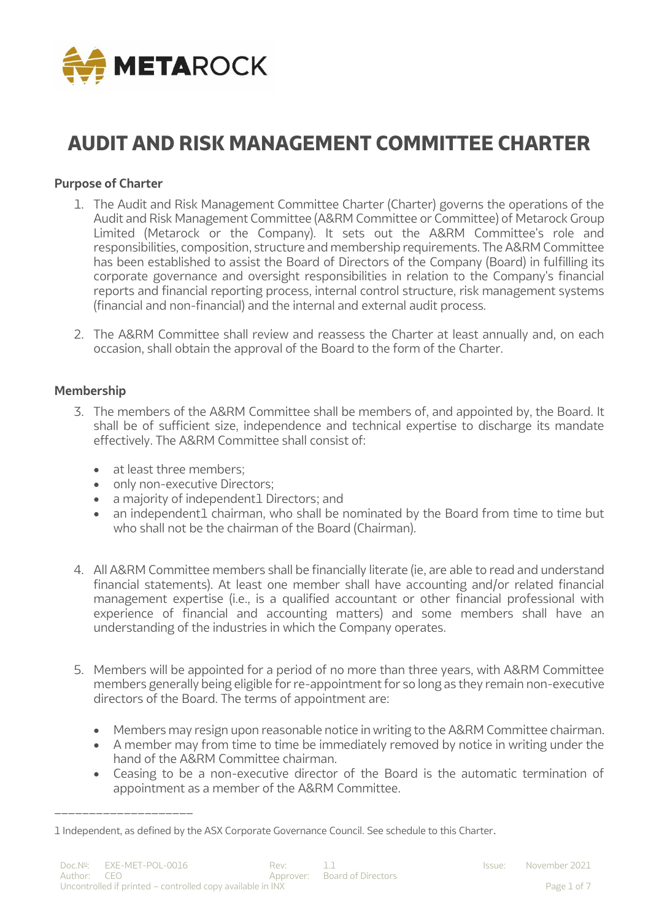

# **AUDIT AND RISK MANAGEMENT COMMITTEE CHARTER**

#### **Purpose of Charter**

- 1. The Audit and Risk Management Committee Charter (Charter) governs the operations of the Audit and Risk Management Committee (A&RM Committee or Committee) of Metarock Group Limited (Metarock or the Company). It sets out the A&RM Committee's role and responsibilities, composition, structure and membership requirements. The A&RM Committee has been established to assist the Board of Directors of the Company (Board) in fulfilling its corporate governance and oversight responsibilities in relation to the Company's financial reports and financial reporting process, internal control structure, risk management systems (financial and non-financial) and the internal and external audit process.
- 2. The A&RM Committee shall review and reassess the Charter at least annually and, on each occasion, shall obtain the approval of the Board to the form of the Charter.

#### **Membership**

- 3. The members of the A&RM Committee shall be members of, and appointed by, the Board. It shall be of sufficient size, independence and technical expertise to discharge its mandate effectively. The A&RM Committee shall consist of:
	- at least three members:

\_\_\_\_\_\_\_\_\_\_\_\_\_\_\_\_\_\_\_\_

- only non-executive Directors;
- a majority of independent1 Directors; and
- an independent1 chairman, who shall be nominated by the Board from time to time but who shall not be the chairman of the Board (Chairman).
- 4. All A&RM Committee members shall be financially literate (ie, are able to read and understand financial statements). At least one member shall have accounting and/or related financial management expertise (i.e., is a qualified accountant or other financial professional with experience of financial and accounting matters) and some members shall have an understanding of the industries in which the Company operates.
- 5. Members will be appointed for a period of no more than three years, with A&RM Committee members generally being eligible for re-appointment for so long as they remain non-executive directors of the Board. The terms of appointment are:
	- Members may resign upon reasonable notice in writing to the A&RM Committee chairman.
	- A member may from time to time be immediately removed by notice in writing under the hand of the A&RM Committee chairman.
	- Ceasing to be a non-executive director of the Board is the automatic termination of appointment as a member of the A&RM Committee.

<sup>1</sup> Independent, as defined by the ASX Corporate Governance Council. See schedule to this Charter.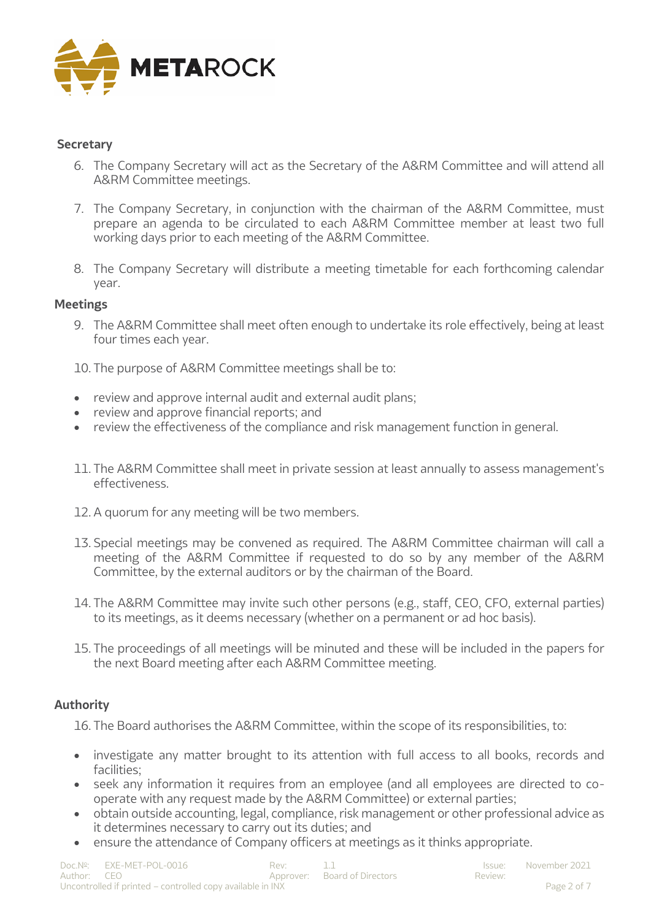

## **Secretary**

- 6. The Company Secretary will act as the Secretary of the A&RM Committee and will attend all A&RM Committee meetings.
- 7. The Company Secretary, in conjunction with the chairman of the A&RM Committee, must prepare an agenda to be circulated to each A&RM Committee member at least two full working days prior to each meeting of the A&RM Committee.
- 8. The Company Secretary will distribute a meeting timetable for each forthcoming calendar year.

#### **Meetings**

9. The A&RM Committee shall meet often enough to undertake its role effectively, being at least four times each year.

10. The purpose of A&RM Committee meetings shall be to:

- review and approve internal audit and external audit plans;
- review and approve financial reports; and
- review the effectiveness of the compliance and risk management function in general.
- 11. The A&RM Committee shall meet in private session at least annually to assess management's effectiveness.
- 12. A quorum for any meeting will be two members.
- 13. Special meetings may be convened as required. The A&RM Committee chairman will call a meeting of the A&RM Committee if requested to do so by any member of the A&RM Committee, by the external auditors or by the chairman of the Board.
- 14. The A&RM Committee may invite such other persons (e.g., staff, CEO, CFO, external parties) to its meetings, as it deems necessary (whether on a permanent or ad hoc basis).
- 15. The proceedings of all meetings will be minuted and these will be included in the papers for the next Board meeting after each A&RM Committee meeting.

#### **Authority**

16. The Board authorises the A&RM Committee, within the scope of its responsibilities, to:

- investigate any matter brought to its attention with full access to all books, records and facilities;
- seek any information it requires from an employee (and all employees are directed to cooperate with any request made by the A&RM Committee) or external parties;
- obtain outside accounting, legal, compliance, risk management or other professional advice as it determines necessary to carry out its duties; and
- ensure the attendance of Company officers at meetings as it thinks appropriate.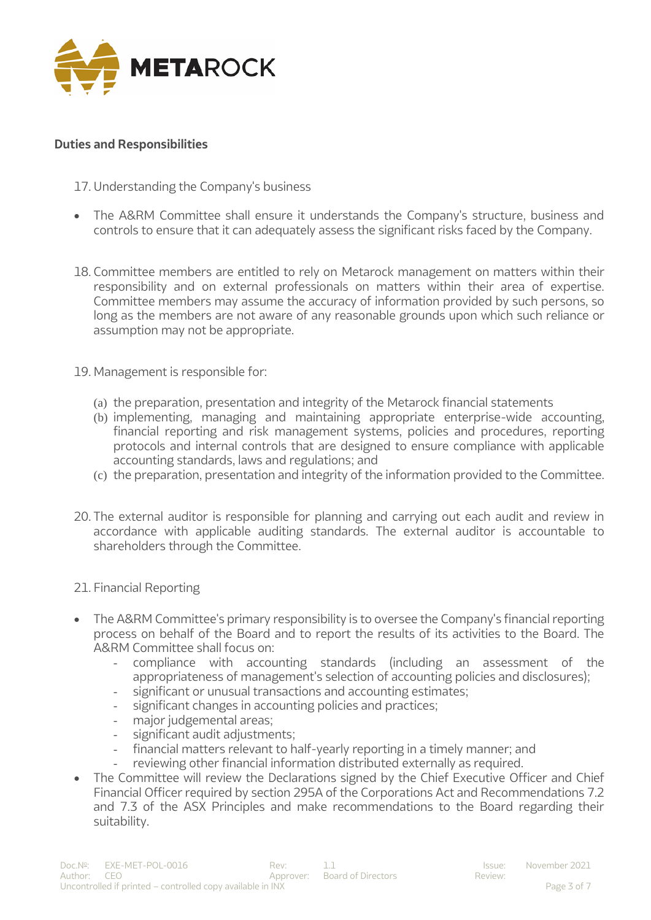

#### **Duties and Responsibilities**

- 17. Understanding the Company's business
- The A&RM Committee shall ensure it understands the Company's structure, business and controls to ensure that it can adequately assess the significant risks faced by the Company.
- 18. Committee members are entitled to rely on Metarock management on matters within their responsibility and on external professionals on matters within their area of expertise. Committee members may assume the accuracy of information provided by such persons, so long as the members are not aware of any reasonable grounds upon which such reliance or assumption may not be appropriate.
- 19. Management is responsible for:
	- (a) the preparation, presentation and integrity of the Metarock financial statements
	- (b) implementing, managing and maintaining appropriate enterprise-wide accounting, financial reporting and risk management systems, policies and procedures, reporting protocols and internal controls that are designed to ensure compliance with applicable accounting standards, laws and regulations; and
	- (c) the preparation, presentation and integrity of the information provided to the Committee.
- 20. The external auditor is responsible for planning and carrying out each audit and review in accordance with applicable auditing standards. The external auditor is accountable to shareholders through the Committee.
- 21. Financial Reporting
- The A&RM Committee's primary responsibility is to oversee the Company's financial reporting process on behalf of the Board and to report the results of its activities to the Board. The A&RM Committee shall focus on:
	- compliance with accounting standards (including an assessment of the appropriateness of management's selection of accounting policies and disclosures);
	- significant or unusual transactions and accounting estimates;
	- significant changes in accounting policies and practices;
	- major judgemental areas;
	- significant audit adjustments;
	- financial matters relevant to half-yearly reporting in a timely manner; and
	- reviewing other financial information distributed externally as required.
- The Committee will review the Declarations signed by the Chief Executive Officer and Chief Financial Officer required by section 295A of the Corporations Act and Recommendations 7.2 and 7.3 of the ASX Principles and make recommendations to the Board regarding their suitability.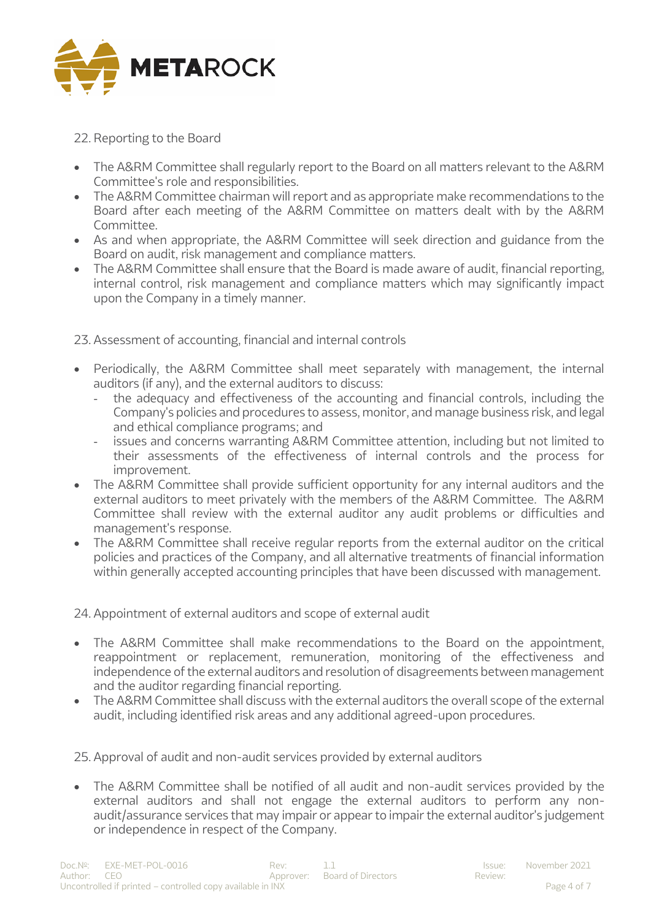

## 22. Reporting to the Board

- The A&RM Committee shall regularly report to the Board on all matters relevant to the A&RM Committee's role and responsibilities.
- The A&RM Committee chairman will report and as appropriate make recommendations to the Board after each meeting of the A&RM Committee on matters dealt with by the A&RM Committee.
- As and when appropriate, the A&RM Committee will seek direction and guidance from the Board on audit, risk management and compliance matters.
- The A&RM Committee shall ensure that the Board is made aware of audit, financial reporting, internal control, risk management and compliance matters which may significantly impact upon the Company in a timely manner.

23. Assessment of accounting, financial and internal controls

- Periodically, the A&RM Committee shall meet separately with management, the internal auditors (if any), and the external auditors to discuss:
	- the adequacy and effectiveness of the accounting and financial controls, including the Company's policies and procedures to assess, monitor, and manage business risk, and legal and ethical compliance programs; and
	- issues and concerns warranting A&RM Committee attention, including but not limited to their assessments of the effectiveness of internal controls and the process for improvement.
- The A&RM Committee shall provide sufficient opportunity for any internal auditors and the external auditors to meet privately with the members of the A&RM Committee. The A&RM Committee shall review with the external auditor any audit problems or difficulties and management's response.
- The A&RM Committee shall receive regular reports from the external auditor on the critical policies and practices of the Company, and all alternative treatments of financial information within generally accepted accounting principles that have been discussed with management.

24. Appointment of external auditors and scope of external audit

- The A&RM Committee shall make recommendations to the Board on the appointment, reappointment or replacement, remuneration, monitoring of the effectiveness and independence of the external auditors and resolution of disagreements between management and the auditor regarding financial reporting.
- The A&RM Committee shall discuss with the external auditors the overall scope of the external audit, including identified risk areas and any additional agreed-upon procedures.

25. Approval of audit and non-audit services provided by external auditors

• The A&RM Committee shall be notified of all audit and non-audit services provided by the external auditors and shall not engage the external auditors to perform any nonaudit/assurance services that may impair or appear to impair the external auditor's judgement or independence in respect of the Company.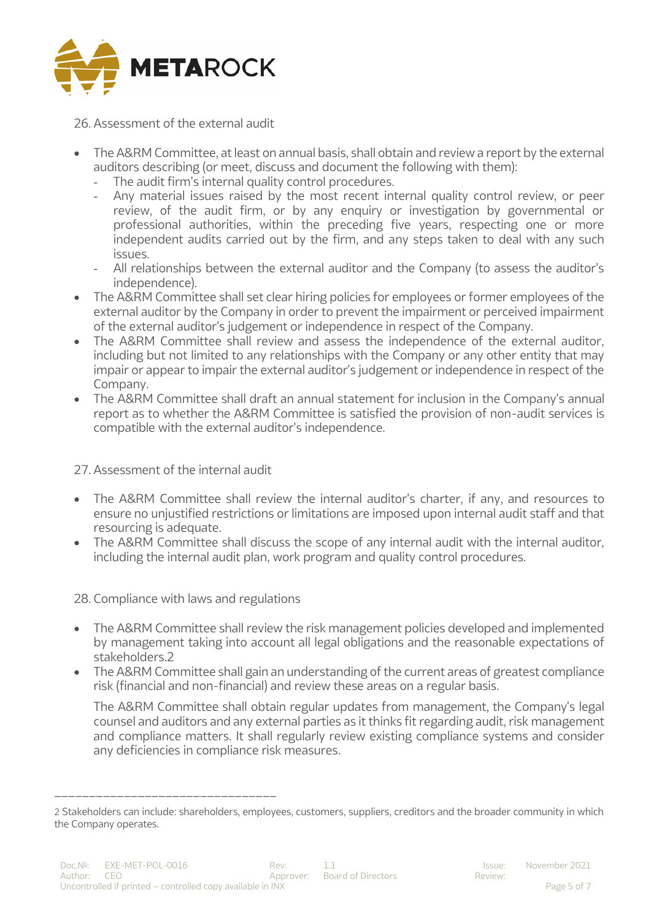

26. Assessment of the external audit

- The A&RM Committee, at least on annual basis, shall obtain and review a report by the external auditors describing (or meet, discuss and document the following with them):
	- The audit firm's internal quality control procedures.
	- Any material issues raised by the most recent internal quality control review, or peer review, of the audit firm, or by any enquiry or investigation by governmental or professional authorities, within the preceding five years, respecting one or more independent audits carried out by the firm, and any steps taken to deal with any such issues.
	- All relationships between the external auditor and the Company (to assess the auditor's independence).
- The A&RM Committee shall set clear hiring policies for employees or former employees of the external auditor by the Company in order to prevent the impairment or perceived impairment of the external auditor's judgement or independence in respect of the Company.
- The A&RM Committee shall review and assess the independence of the external auditor, including but not limited to any relationships with the Company or any other entity that may impair or appear to impair the external auditor's judgement or independence in respect of the Company.
- The A&RM Committee shall draft an annual statement for inclusion in the Company's annual report as to whether the A&RM Committee is satisfied the provision of non-audit services is compatible with the external auditor's independence.

27. Assessment of the internal audit

- The A&RM Committee shall review the internal auditor's charter, if any, and resources to ensure no unjustified restrictions or limitations are imposed upon internal audit staff and that resourcing is adequate.
- The A&RM Committee shall discuss the scope of any internal audit with the internal auditor, including the internal audit plan, work program and quality control procedures.

28. Compliance with laws and regulations

\_\_\_\_\_\_\_\_\_\_\_\_\_\_\_\_\_\_\_\_\_\_\_\_\_\_\_\_\_\_\_\_

- The A&RM Committee shall review the risk management policies developed and implemented by management taking into account all legal obligations and the reasonable expectations of stakeholders<sub>2</sub>
- The A&RM Committee shall gain an understanding of the current areas of greatest compliance risk (financial and non-financial) and review these areas on a regular basis.

The A&RM Committee shall obtain regular updates from management, the Company's legal counsel and auditors and any external parties as it thinks fit regarding audit, risk management and compliance matters. It shall regularly review existing compliance systems and consider any deficiencies in compliance risk measures.

<sup>2</sup> Stakeholders can include: shareholders, employees, customers, suppliers, creditors and the broader community in which the Company operates.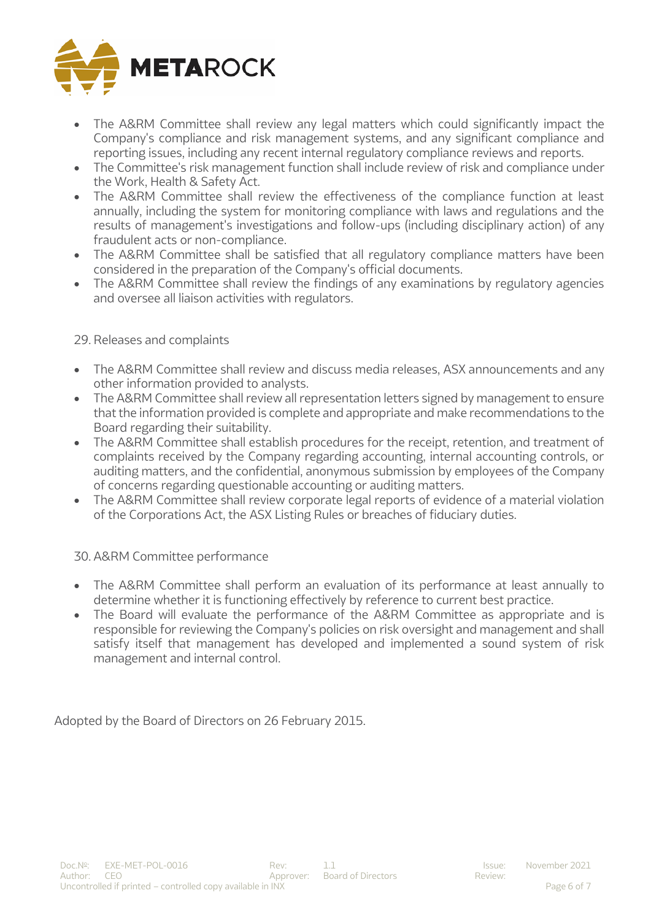

- The A&RM Committee shall review any legal matters which could significantly impact the Company's compliance and risk management systems, and any significant compliance and reporting issues, including any recent internal regulatory compliance reviews and reports.
- The Committee's risk management function shall include review of risk and compliance under the Work, Health & Safety Act.
- The A&RM Committee shall review the effectiveness of the compliance function at least annually, including the system for monitoring compliance with laws and regulations and the results of management's investigations and follow-ups (including disciplinary action) of any fraudulent acts or non-compliance.
- The A&RM Committee shall be satisfied that all regulatory compliance matters have been considered in the preparation of the Company's official documents.
- The A&RM Committee shall review the findings of any examinations by regulatory agencies and oversee all liaison activities with regulators.

#### 29. Releases and complaints

- The A&RM Committee shall review and discuss media releases, ASX announcements and any other information provided to analysts.
- The A&RM Committee shall review all representation letters signed by management to ensure that the information provided is complete and appropriate and make recommendations to the Board regarding their suitability.
- The A&RM Committee shall establish procedures for the receipt, retention, and treatment of complaints received by the Company regarding accounting, internal accounting controls, or auditing matters, and the confidential, anonymous submission by employees of the Company of concerns regarding questionable accounting or auditing matters.
- The A&RM Committee shall review corporate legal reports of evidence of a material violation of the Corporations Act, the ASX Listing Rules or breaches of fiduciary duties.

## 30. A&RM Committee performance

- The A&RM Committee shall perform an evaluation of its performance at least annually to determine whether it is functioning effectively by reference to current best practice.
- The Board will evaluate the performance of the A&RM Committee as appropriate and is responsible for reviewing the Company's policies on risk oversight and management and shall satisfy itself that management has developed and implemented a sound system of risk management and internal control.

Adopted by the Board of Directors on 26 February 2015.